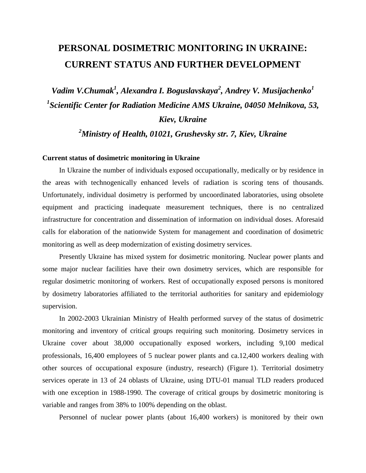## **PERSONAL DOSIMETRIC MONITORING IN UKRAINE: CURRENT STATUS AND FURTHER DEVELOPMENT**

*Vadim V.Chumak<sup>1</sup> , Alexandra I. Boguslavskaya<sup>2</sup> , Andrey V. Musijachenko<sup>1</sup> 1 Scientific Center for Radiation Medicine AMS Ukraine, 04050 Melnikova, 53, Kiev, Ukraine* 

*<sup>2</sup>Ministry of Health, 01021, Grushevsky str. 7, Kiev, Ukraine* 

## **Current status of dosimetric monitoring in Ukraine**

In Ukraine the number of individuals exposed occupationally, medically or by residence in the areas with technogenically enhanced levels of radiation is scoring tens of thousands. Unfortunately, individual dosimetry is performed by uncoordinated laboratories, using obsolete equipment and practicing inadequate measurement techniques, there is no centralized infrastructure for concentration and dissemination of information on individual doses. Aforesaid calls for elaboration of the nationwide System for management and coordination of dosimetric monitoring as well as deep modernization of existing dosimetry services.

Presently Ukraine has mixed system for dosimetric monitoring. Nuclear power plants and some major nuclear facilities have their own dosimetry services, which are responsible for regular dosimetric monitoring of workers. Rest of occupationally exposed persons is monitored by dosimetry laboratories affiliated to the territorial authorities for sanitary and epidemiology supervision.

In 2002-2003 Ukrainian Ministry of Health performed survey of the status of dosimetric monitoring and inventory of critical groups requiring such monitoring. Dosimetry services in Ukraine cover about 38,000 occupationally exposed workers, including 9,100 medical professionals, 16,400 employees of 5 nuclear power plants and ca.12,400 workers dealing with other sources of occupational exposure (industry, research) (Figure 1). Territorial dosimetry services operate in 13 of 24 oblasts of Ukraine, using DTU-01 manual TLD readers produced with one exception in 1988-1990. The coverage of critical groups by dosimetric monitoring is variable and ranges from 38% to 100% depending on the oblast.

Personnel of nuclear power plants (about 16,400 workers) is monitored by their own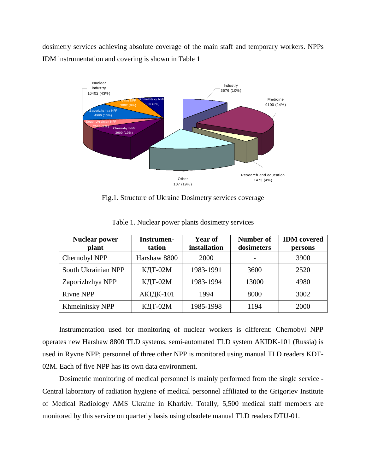dosimetry services achieving absolute coverage of the main staff and temporary workers. NPPs IDM instrumentation and covering is shown in Table 1



Fig.1. Structure of Ukraine Dosimetry services coverage

| <b>Nuclear power</b><br>plant | Instrumen-<br>tation | <b>Year of</b><br>installation | <b>Number of</b><br>dosimeters | <b>IDM</b> covered<br>persons |
|-------------------------------|----------------------|--------------------------------|--------------------------------|-------------------------------|
| Chernobyl NPP                 | Harshaw 8800         | 2000                           |                                | 3900                          |
| South Ukrainian NPP           | КДТ-02М              | 1983-1991                      | 3600                           | 2520                          |
| Zaporizhzhya NPP              | КДТ-02М              | 1983-1994                      | 13000                          | 4980                          |
| <b>Rivne NPP</b>              | АКІДК-101            | 1994                           | 8000                           | 3002                          |
| Khmelnitsky NPP               | КДТ-02М              | 1985-1998                      | 1194                           | 2000                          |

Table 1. Nuclear power plants dosimetry services

Instrumentation used for monitoring of nuclear workers is different: Chernobyl NPP operates new Harshaw 8800 TLD systems, semi-automated TLD system AKIDK-101 (Russia) is used in Ryvne NPP; personnel of three other NPP is monitored using manual TLD readers KDT-02M. Each of five NPP has its own data environment.

Dosimetric monitoring of medical personnel is mainly performed from the single service - Central laboratory of radiation hygiene of medical personnel affiliated to the Grigoriev Institute of Medical Radiology AMS Ukraine in Kharkiv. Totally, 5,500 medical staff members are monitored by this service on quarterly basis using obsolete manual TLD readers DTU-01.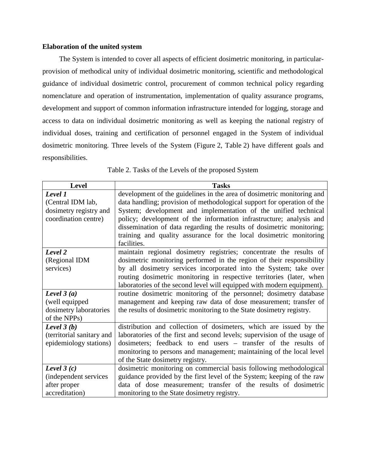## **Elaboration of the united system**

The System is intended to cover all aspects of efficient dosimetric monitoring, in particularprovision of methodical unity of individual dosimetric monitoring, scientific and methodological guidance of individual dosimetric control, procurement of common technical policy regarding nomenclature and operation of instrumentation, implementation of quality assurance programs, development and support of common information infrastructure intended for logging, storage and access to data on individual dosimetric monitoring as well as keeping the national registry of individual doses, training and certification of personnel engaged in the System of individual dosimetric monitoring. Three levels of the System (Figure 2, Table 2) have different goals and responsibilities.

| Level                     | <b>Tasks</b>                                                             |
|---------------------------|--------------------------------------------------------------------------|
| Level 1                   | development of the guidelines in the area of dosimetric monitoring and   |
| (Central IDM lab,         | data handling; provision of methodological support for operation of the  |
| dosimetry registry and    | System; development and implementation of the unified technical          |
| coordination centre)      | policy; development of the information infrastructure; analysis and      |
|                           | dissemination of data regarding the results of dosimetric monitoring;    |
|                           | training and quality assurance for the local dosimetric monitoring       |
|                           | facilities.                                                              |
| Level 2                   | maintain regional dosimetry registries; concentrate the results of       |
| (Regional IDM             | dosimetric monitoring performed in the region of their responsibility    |
| services)                 | by all dosimetry services incorporated into the System; take over        |
|                           | routing dosimetric monitoring in respective territories (later, when     |
|                           | laboratories of the second level will equipped with modern equipment).   |
| Level $3(a)$              | routine dosimetric monitoring of the personnel; dosimetry database       |
| (well equipped            | management and keeping raw data of dose measurement; transfer of         |
| dosimetry laboratories    | the results of dosimetric monitoring to the State dosimetry registry.    |
| of the NPPs)              |                                                                          |
| Level $3(b)$              | distribution and collection of dosimeters, which are issued by the       |
| (territorial sanitary and | laboratories of the first and second levels; supervision of the usage of |
| epidemiology stations)    | dosimeters; feedback to end users – transfer of the results of           |
|                           | monitoring to persons and management; maintaining of the local level     |
|                           | of the State dosimetry registry.                                         |
| Level $3(c)$              | dosimetric monitoring on commercial basis following methodological       |
| (independent services     | guidance provided by the first level of the System; keeping of the raw   |
| after proper              | data of dose measurement; transfer of the results of dosimetric          |
| accreditation)            | monitoring to the State dosimetry registry.                              |

Table 2. Tasks of the Levels of the proposed System